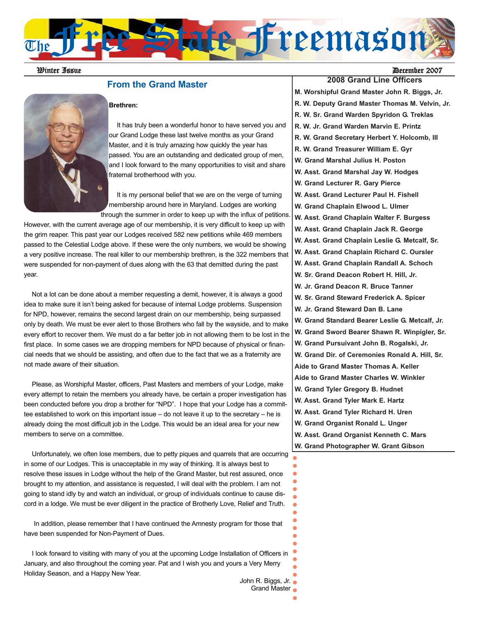

## **From the Grand Master**

#### **Brethren:**



It has truly been a wonderful honor to have served you and our Grand Lodge these last twelve months as your Grand Master, and it is truly amazing how quickly the year has passed. You are an outstanding and dedicated group of men, and I look forward to the many opportunities to visit and share fraternal brotherhood with you.

It is my personal belief that we are on the verge of turning membership around here in Maryland. Lodges are working through the summer in order to keep up with the influx of petitions.

However, with the current average age of our membership, it is very difficult to keep up with the grim reaper. This past year our Lodges received 582 new petitions while 469 members passed to the Celestial Lodge above. If these were the only numbers, we would be showing a very positive increase. The real killer to our membership brethren, is the 322 members that were suspended for non-payment of dues along with the 63 that demitted during the past year.

Not a lot can be done about a member requesting a demit, however, it is always a good idea to make sure it isn't being asked for because of internal Lodge problems. Suspension for NPD, however, remains the second largest drain on our membership, being surpassed only by death. We must be ever alert to those Brothers who fall by the wayside, and to make every effort to recover them. We must do a far better job in not allowing them to be lost in the first place. In some cases we are dropping members for NPD because of physical or financial needs that we should be assisting, and often due to the fact that we as a fraternity are not made aware of their situation.

Please, as Worshipful Master, officers, Past Masters and members of your Lodge, make every attempt to retain the members you already have, be certain a proper investigation has been conducted before you drop a brother for "NPD". I hope that your Lodge has a committee established to work on this important issue – do not leave it up to the secretary – he is already doing the most difficult job in the Lodge. This would be an ideal area for your new members to serve on a committee.

Unfortunately, we often lose members, due to petty piques and quarrels that are occurring in some of our Lodges. This is unacceptable in my way of thinking. It is always best to resolve these issues in Lodge without the help of the Grand Master, but rest assured, once brought to my attention, and assistance is requested, I will deal with the problem. I am not going to stand idly by and watch an individual, or group of individuals continue to cause discord in a lodge. We must be ever diligent in the practice of Brotherly Love, Relief and Truth.

In addition, please remember that I have continued the Amnesty program for those that have been suspended for Non-Payment of Dues.

I look forward to visiting with many of you at the upcoming Lodge Installation of Officers in January, and also throughout the coming year. Pat and I wish you and yours a Very Merry Holiday Season, and a Happy New Year.

John R. Biggs, Jr.

**2008 Grand Line Officers M. Worshipful Grand Master John R. Biggs, Jr. R. W. Deputy Grand Master Thomas M. Velvin, Jr. R. W. Sr. Grand Warden Spyridon G. Treklas R. W. Jr. Grand Warden Marvin E. Printz R. W. Grand Secretary Herbert Y. Holcomb, III R. W. Grand Treasurer William E. Gyr W. Grand Marshal Julius H. Poston W. Asst. Grand Marshal Jay W. Hodges W. Grand Lecturer R. Gary Pierce W. Asst. Grand Lecturer Paul H. Fishell W. Grand Chaplain Elwood L. Ulmer W. Asst. Grand Chaplain Walter F. Burgess W. Asst. Grand Chaplain Jack R. George W. Asst. Grand Chaplain Leslie G. Metcalf, Sr. W. Asst. Grand Chaplain Richard C. Oursler W. Asst. Grand Chaplain Randall A. Schoch W. Sr. Grand Deacon Robert H. Hill, Jr. W. Jr. Grand Deacon R. Bruce Tanner W. Sr. Grand Steward Frederick A. Spicer W. Jr. Grand Steward Dan B. Lane W. Grand Standard Bearer Leslie G. Metcalf, Jr. W. Grand Sword Bearer Shawn R. Winpigler, Sr. W. Grand Pursuivant John B. Rogalski, Jr. W. Grand Dir. of Ceremonies Ronald A. Hill, Sr. Aide to Grand Master Thomas A. Keller Aide to Grand Master Charles W. Winkler W. Grand Tyler Gregory B. Hudnet W. Asst. Grand Tyler Mark E. Hartz W. Asst. Grand Tyler Richard H. Uren W. Grand Organist Ronald L. Unger W. Asst. Grand Organist Kenneth C. Mars W. Grand Photographer W. Grant Gibson**

 $\blacksquare$  $\bullet$  $\bullet$  $\bullet$  $\bullet$  $\bullet$  $\bullet$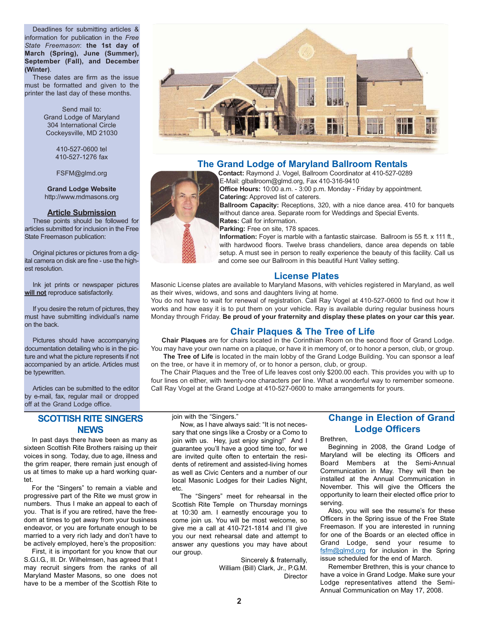Deadlines for submitting articles & information for publication in the *Free State Freemason*: **the 1st day of March (Spring), June (Summer), September (Fall), and December (Winter)**.

These dates are firm as the issue must be formatted and given to the printer the last day of these months.

> Send mail to: Grand Lodge of Maryland 304 International Circle Cockeysville, MD 21030

> > 410-527-0600 tel 410-527-1276 fax

FSFM@glmd.org

**Grand Lodge Website** http://www.mdmasons.org

#### **Article Submission**

These points should be followed for articles submitted for inclusion in the Free State Freemason publication:

Original pictures or pictures from a digital camera on disk are fine - use the highest resolution.

Ink jet prints or newspaper pictures **will not** reproduce satisfactorily.

If you desire the return of pictures, they must have submitting individual's name on the back.

Pictures should have accompanying documentation detailing who is in the picture and what the picture represents if not accompanied by an article. Articles must be typewritten.

Articles can be submitted to the editor by e-mail, fax, regular mail or dropped off at the Grand Lodge office.

#### **SCOTTISH RITE SINGERS NEWS**

In past days there have been as many as sixteen Scottish Rite Brothers raising up their voices in song. Today, due to age, illness and the grim reaper, there remain just enough of us at times to make up a hard working quartet.

For the "Singers" to remain a viable and progressive part of the Rite we must grow in numbers. Thus I make an appeal to each of you. That is if you are retired, have the freedom at times to get away from your business endeavor, or you are fortunate enough to be married to a very rich lady and don't have to be actively employed, here's the proposition:

First, it is important for you know that our S.G.I.G., III. Dr. Wilhelmsen, has agreed that I may recruit singers from the ranks of all Maryland Master Masons, so one does not have to be a member of the Scottish Rite to

join with the "Singers."

Now, as I have always said: "It is not necessary that one sings like a Crosby or a Como to join with us. Hey, just enjoy singing!" And I guarantee you'll have a good time too, for we are invited quite often to entertain the residents of retirement and assisted-living homes as well as Civic Centers and a number of our local Masonic Lodges for their Ladies Night, etc.

The "Singers" meet for rehearsal in the Scottish Rite Temple on Thursday mornings at 10:30 am. I earnestly encourage you to come join us. You will be most welcome, so give me a call at 410-721-1814 and I'll give you our next rehearsal date and attempt to answer any questions you may have about our group.

**2**

Sincerely & fraternally, William (Bill) Clark, Jr., P.G.M. **Director** 

## **The Grand Lodge of Maryland Ballroom Rentals**

**Contact:** Raymond J. Vogel, Ballroom Coordinator at 410-527-0289 E-Mail: glballroom@glmd.org, Fax 410-316-9410

**Office Hours:** 10:00 a.m. - 3:00 p.m. Monday - Friday by appointment. **Catering:** Approved list of caterers.

**Ballroom Capacity:** Receptions, 320, with a nice dance area. 410 for banquets without dance area. Separate room for Weddings and Special Events. **Rates:** Call for information.

Parking: Free on site, 178 spaces.

**Information:** Foyer is marble with a fantastic staircase. Ballroom is 55 ft. x 111 ft., with hardwood floors. Twelve brass chandeliers, dance area depends on table setup. A must see in person to really experience the beauty of this facility. Call us and come see our Ballroom in this beautiful Hunt Valley setting.

#### **License Plates**

Masonic License plates are available to Maryland Masons, with vehicles registered in Maryland, as well as their wives, widows, and sons and daughters living at home.

You do not have to wait for renewal of registration. Call Ray Vogel at 410-527-0600 to find out how it works and how easy it is to put them on your vehicle. Ray is available during regular business hours Monday through Friday. **Be proud of your fraternity and display these plates on your car this year.**

# **Chair Plaques & The Tree of Life**

**Chair Plaques** are for chairs located in the Corinthian Room on the second floor of Grand Lodge. You may have your own name on a plaque, or have it in memory of, or to honor a person, club, or group.

The Tree of Life is located in the main lobby of the Grand Lodge Building. You can sponsor a leaf on the tree, or have it in memory of, or to honor a person, club, or group.

The Chair Plaques and the Tree of Life leaves cost only \$200.00 each. This provides you with up to four lines on either, with twenty-one characters per line. What a wonderful way to remember someone. Call Ray Vogel at the Grand Lodge at 410-527-0600 to make arrangements for yours.

# **Change in Election of Grand Lodge Officers**

Brethren,

Beginning in 2008, the Grand Lodge of Maryland will be electing its Officers and Board Members at the Semi-Annual Communication in May. They will then be installed at the Annual Communication in November. This will give the Officers the opportunity to learn their elected office prior to serving.

Also, you will see the resume's for these Officers in the Spring issue of the Free State Freemason. If you are interested in running for one of the Boards or an elected office in Grand Lodge, send your resume to fsfm@glmd.org for inclusion in the Spring issue scheduled for the end of March.

Remember Brethren, this is your chance to have a voice in Grand Lodge. Make sure your Lodge representatives attend the Semi-Annual Communication on May 17, 2008.

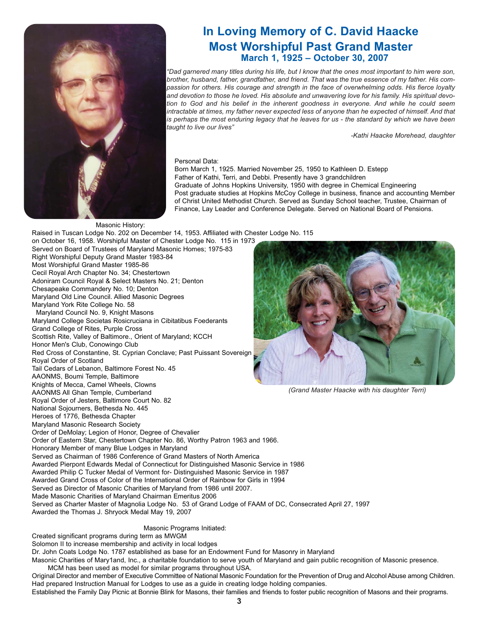

# **In Loving Memory of C. David Haacke Most Worshipful Past Grand Master March 1, 1925 – October 30, 2007**

*"Dad garnered many titles during his life, but I know that the ones most important to him were son, brother, husband, father, grandfather, and friend. That was the true essence of my father. His compassion for others. His courage and strength in the face of overwhelming odds. His fierce loyalty and devotion to those he loved. His absolute and unwavering love for his family. His spiritual devotion to God and his belief in the inherent goodness in everyone. And while he could seem intractable at times, my father never expected less of anyone than he expected of himself. And that is perhaps the most enduring legacy that he leaves for us - the standard by which we have been taught to live our lives"*

*-Kathi Haacke Morehead, daughter*

#### Personal Data:

Born March 1, 1925. Married November 25, 1950 to Kathleen D. Estepp Father of Kathi, Terri, and Debbi. Presently have 3 grandchildren Graduate of Johns Hopkins University, 1950 with degree in Chemical Engineering Post graduate studies at Hopkins McCoy College in business, finance and accounting Member of Christ United Methodist Church. Served as Sunday School teacher, Trustee, Chairman of Finance, Lay Leader and Conference Delegate. Served on National Board of Pensions.

#### Masonic History:

Raised in Tuscan Lodge No. 202 on December 14, 1953. Affiliated with Chester Lodge No. 115 on October 16, 1958. Worshipful Master of Chester Lodge No. 115 in 1973 Served on Board of Trustees of Maryland Masonic Homes; 1975-83 Right Worshipful Deputy Grand Master 1983-84 Most Worshipful Grand Master 1985-86 Cecil Royal Arch Chapter No. 34; Chestertown Adoniram Council Royal & Select Masters No. 21; Denton Chesapeake Commandery No. 10; Denton Maryland Old Line Council. Allied Masonic Degrees Maryland York Rite College No. 58 Maryland Council No. 9, Knight Masons Maryland College Societas Rosicruciana in Cibitatibus Foederants Grand College of Rites, Purple Cross Scottish Rite, Valley of Baltimore., Orient of Maryland; KCCH Honor Men's Club, Conowingo Club Red Cross of Constantine, St. Cyprian Conclave; Past Puissant Sovereign Royal Order of Scotland Tail Cedars of Lebanon, Baltimore Forest No. 45 AAONMS, Boumi Temple, Baltimore Knights of Mecca, Camel Wheels, Clowns AAONMS All Ghan Temple, Cumberland Royal Order of Jesters, Baltimore Court No. 82 National Sojourners, Bethesda No. 445 Heroes of 1776, Bethesda Chapter Maryland Masonic Research Society Order of DeMolay; Legion of Honor, Degree of Chevalier Order of Eastern Star, Chestertown Chapter No. 86, Worthy Patron 1963 and 1966. Honorary Member of many Blue Lodges in Maryland Served as Chairman of 1986 Conference of Grand Masters of North America Awarded Pierpont Edwards Medal of Connecticut for Distinguished Masonic Service in 1986 Awarded Philip C Tucker Medal of Vermont for- Distinguished Masonic Service in 1987 Awarded Grand Cross of Color of the International Order of Rainbow for Girls in 1994 Served as Director of Masonic Charities of Maryland from 1986 until 2007. Made Masonic Charities of Maryland Chairman Emeritus 2006 Served as Charter Master of Magnolia Lodge No. 53 of Grand Lodge of FAAM of DC, Consecrated April 27, 1997 Awarded the Thomas J. Shryock Medal May 19, 2007

#### Masonic Programs Initiated:

Created significant programs during term as MWGM

Solomon II to increase membership and activity in local lodges

Dr. John Coats Lodge No. 1787 established as base for an Endowment Fund for Masonry in Maryland

Masonic Charities of Mary1and, Inc., a charitable foundation to serve youth of Maryland and gain public recognition of Masonic presence. MCM has been used as model for similar programs throughout USA.

Original Director and member of Executive Committee of National Masonic Foundation for the Prevention of Drug and Alcohol Abuse among Children. Had prepared Instruction Manual for Lodges to use as a guide in creating lodge holding companies. Established the Family Day Picnic at Bonnie Blink for Masons, their families and friends to foster public recognition of Masons and their programs.



*(Grand Master Haacke with his daughter Terri)*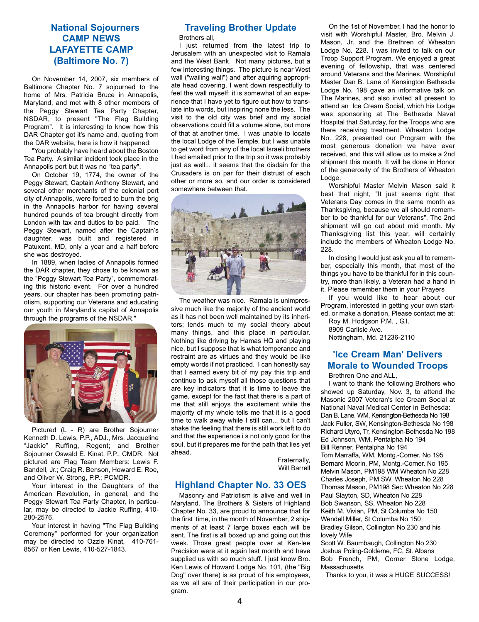# **National Sojourners CAMP NEWS LAFAYETTE CAMP (Baltimore No. 7)**

On November 14, 2007, six members of Baltimore Chapter No. 7 sojourned to the home of Mrs. Patricia Bruce in Annapolis, Maryland, and met with 8 other members of the Peggy Stewart Tea Party Chapter, NSDAR, to present "The Flag Building Program". It is interesting to know how this DAR Chapter got it's name and, quoting from the DAR website, here is how it happened:

"You probably have heard about the Boston Tea Party. A similar incident took place in the Annapolis port but it was no "tea party".

On October 19, 1774, the owner of the Peggy Stewart, Captain Anthony Stewart, and several other merchants of the colonial port city of Annapolis, were forced to burn the brig in the Annapolis harbor for having several hundred pounds of tea brought directly from London with tax and duties to be paid. The Peggy Stewart, named after the Captain's daughter, was built and registered in Patuxent, MD, only a year and a half before she was destroyed.

In 1889, when ladies of Annapolis formed the DAR chapter, they chose to be known as the "Peggy Stewart Tea Party", commemorating this historic event. For over a hundred years, our chapter has been promoting patriotism, supporting our Veterans and educating our youth in Maryland's capital of Annapolis through the programs of the NSDAR."



Pictured (L - R) are Brother Sojourner Kenneth D. Lewis, P.P., ADJ., Mrs. Jacqueline "Jackie" Ruffing, Regent; and Brother Sojourner Oswald E. Kinat, P.P., CMDR. Not pictured are Flag Team Members: Lewis F. Bandell, Jr.; Craig R. Benson, Howard E. Roe, and Oliver W. Strong, P.P.; PCMDR.

Your interest in the Daughters of the American Revolution, in general, and the Peggy Stewart Tea Party Chapter, in particular, may be directed to Jackie Ruffing, 410- 280-2576.

Your interest in having "The Flag Building Ceremony" performed for your organization may be directed to Ozzie Kinat, 410-761- 8567 or Ken Lewis, 410-527-1843.

# **Traveling Brother Update**

Brothers all,

I just returned from the latest trip to Jerusalem with an unexpected visit to Ramala and the West Bank. Not many pictures, but a few interesting things. The picture is near West wall ("wailing wall") and after aquiring appropriate head covering, I went down respectfully to feel the wall myself: it is somewhat of an experience that I have yet to figure out how to translate into words, but inspiring none the less. The visit to the old city was brief and my social observations could fill a volume alone, but more of that at another time. I was unable to locate the local Lodge of the Temple, but I was unable to get word from any of the local Israeli brothers I had emailed prior to the trip so it was probably just as well... it seems that the disdain for the Crusaders is on par for their distrust of each other or more so, and our order is considered somewhere between that.



The weather was nice. Ramala is unimpressive much like the majority of the ancient world as it has not been well maintained by its inheritors; lends much to my social theory about many things, and this place in particular. Nothing like driving by Hamas HQ and playing nice, but I suppose that is what temperance and restraint are as virtues and they would be like empty words if not practiced. I can honestly say that I earned every bit of my pay this trip and continue to ask myself all those questions that are key indicators that it is time to leave the game, except for the fact that there is a part of me that still enjoys the excitement while the majority of my whole tells me that it is a good time to walk away while I still can... but I can't shake the feeling that there is still work left to do and that the experience i s not only good for the soul, but it prepares me for the path that lies yet ahead.

> Fraternally, Will Barrell

#### **Highland Chapter No. 33 OES**

Masonry and Patriotism is alive and well in Maryland. The Brothers & Sisters of Highland Chapter No. 33, are proud to announce that for the first time, in the month of November, 2 shipments of at least 7 large boxes each will be sent. The first is all boxed up and going out this week. Those great people over at Ken-lee Precision were at it again last month and have supplied us with so much stuff. I just know Bro. Ken Lewis of Howard Lodge No. 101, (the "Big Dog" over there) is as proud of his employees, as we all are of their participation in our program.

On the 1st of November, I had the honor to visit with Worshipful Master, Bro. Melvin J. Mason, Jr. and the Brethren of Wheaton Lodge No. 228. I was invited to talk on our Troop Support Program. We enjoyed a great evening of fellowship, that was centered around Veterans and the Marines. Worshipful Master Dan B. Lane of Kensington Bethesda Lodge No. 198 gave an informative talk on The Marines, and also invited all present to attend an Ice Cream Social, which his Lodge was sponsoring at The Bethesda Naval Hospital that Saturday, for the Troops who are there receiving treatment. Wheaton Lodge No. 228, presented our Program with the most generous donation we have ever received, and this will allow us to make a 2nd shipment this month. It will be done in Honor of the generosity of the Brothers of Wheaton Lodge.

Worshipful Master Melvin Mason said it best that night, "It just seems right that Veterans Day comes in the same month as Thanksgiving, because we all should remember to be thankful for our Veterans". The 2nd shipment will go out about mid month. My Thanksgiving list this year, will certainly include the members of Wheaton Lodge No. 228.

In closing I would just ask you all to remember, especially this month, that most of the things you have to be thankful for in this country, more than likely, a Veteran had a hand in it. Please remember them in your Prayers

If you would like to hear about our Program, interested in getting your own started, or make a donation, Please contact me at:

Roy M. Hodgson P.M. , G.I. 8909 Carlisle Ave. Nottingham, Md. 21236-2110

# **'Ice Cream Man' Delivers Morale to Wounded Troops**

Brethren One and ALL,

I want to thank the following Brothers who showed up Saturday, Nov. 3, to attend the Masonic 2007 Veteran's Ice Cream Social at National Naval Medical Center in Bethesda: Dan B. Lane, WM, Kensington-Bethesda No 198 Jack Fuller, SW, Kensington-Bethesda No 198 Richard Utyro, Tr, Kensington-Bethesda No 198 Ed Johnson, WM, Pentalpha No 194 Bill Renner, Pentalpha No 194 Tom Marraffa, WM, Montg.-Corner. No 195 Bernard Moorin, PM, Montg.-Corner. No 195 Melvin Mason, PM198 WM Wheaton No 228 Charles Joseph, PM SW, Wheaton No 228 Thomas Mason, PM198 Sec Wheaton No 228 Paul Slayton, SD, Wheaton No 228 Bob Swanson, SS, Wheaton No 228 Keith M. Vivian, PM, St Columba No 150 Wendell Miller, St Columba No 150 Bradley Gilson, Collington No 230 and his lovely Wife

Scott W. Baumbaugh, Collington No 230 Joshua Poling-Goldeme, FC, St. Albans Bob French, PM, Corner Stone Lodge, **Massachusetts** 

Thanks to you, it was a HUGE SUCCESS!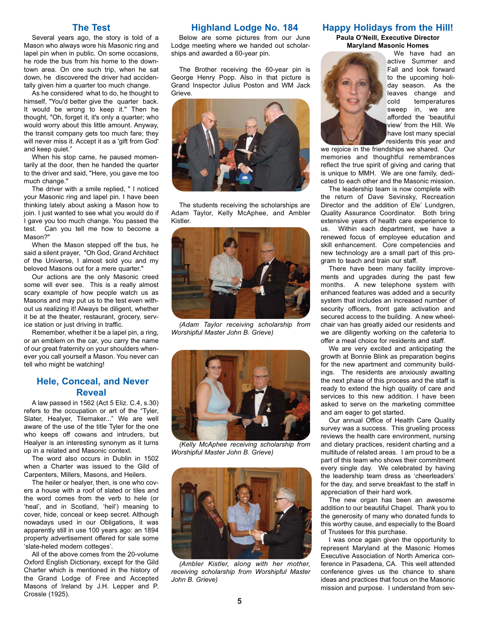#### **The Test**

Several years ago, the story is told of a Mason who always wore his Masonic ring and lapel pin when in public. On some occasions, he rode the bus from his home to the downtown area. On one such trip, when he sat down, he discovered the driver had accidentally given him a quarter too much change.

As he considered what to do, he thought to himself, "You'd better give the quarter back. It would be wrong to keep it." Then he thought, "Oh, forget it, it's only a quarter; who would worry about this little amount. Anyway, the transit company gets too much fare; they will never miss it. Accept it as a 'gift from God' and keep quiet."

When his stop came, he paused momentarily at the door, then he handed the quarter to the driver and said, "Here, you gave me too much change."

The driver with a smile replied, " I noticed your Masonic ring and lapel pin. I have been thinking lately about asking a Mason how to join. I just wanted to see what you would do if I gave you too much change. You passed the test. Can you tell me how to become a Mason?"

When the Mason stepped off the bus, he said a silent prayer, "Oh God, Grand Architect of the Universe, I almost sold you and my beloved Masons out for a mere quarter."

Our actions are the only Masonic creed some will ever see. This is a really almost scary example of how people watch us as Masons and may put us to the test even without us realizing it! Always be diligent, whether it be at the theater, restaurant, grocery, service station or just driving in traffic.

Remember, whether it be a lapel pin, a ring, or an emblem on the car, you carry the name of our great fraternity on your shoulders whenever you call yourself a Mason. You never can tell who might be watching!

#### **Hele, Conceal, and Never Reveal**

A law passed in 1562 (Act 5 Eliz. C.4, s.30) refers to the occupation or art of the "Tyler, Slater, Healyer, Tilemaker..." We are well aware of the use of the title Tyler for the one who keeps off cowans and intruders, but Healyer is an interesting synonym as it turns up in a related and Masonic context.

The word also occurs in Dublin in 1502 when a Charter was issued to the Gild of Carpenters, Millers, Masons, and Heilers.

The heiler or healyer, then, is one who covers a house with a roof of slated or tiles and the word comes from the verb to hele (or 'heal', and in Scotland, 'heil') meaning to cover, hide, conceal or keep secret. Although nowadays used in our Obligations, it was apparently still in use 100 years ago: an 1894 property advertisement offered for sale some 'slate-heled modern cotteges'.

All of the above comes from the 20-volume Oxford English Dictionary, except for the Gild Charter which is mentioned in the history of the Grand Lodge of Free and Accepted Masons of Ireland by J.H. Lepper and P. Crossle (1925).

#### **Highland Lodge No. 184**

Below are some pictures from our June Lodge meeting where we handed out scholarships and awarded a 60-year pin.

The Brother receiving the 60-year pin is George Henry Popp. Also in that picture is Grand Inspector Julius Poston and WM Jack Grieve.



The students receiving the scholarships are Adam Taylor, Kelly McAphee, and Ambler Kistler.



*(Adam Taylor receiving scholarship from Worshipful Master John B. Grieve)*



*(Kelly McAphee receiving scholarship from Worshipful Master John B. Grieve)*



*(Ambler Kistler, along with her mother, receiving scholarship from Worshipful Master John B. Grieve)*

#### **Happy Holidays from the Hill!**

**Paula O'Neill, Executive Director Maryland Masonic Homes**



We have had an active Summer and Fall and look forward to the upcoming holiday season. As the leaves change and cold temperatures sweep in, we are afforded the 'beautiful view' from the Hill. We have lost many special residents this year and

we rejoice in the friendships we shared. Our memories and thoughtful remembrances reflect the true spirit of giving and caring that is unique to MMH. We are one family, dedicated to each other and the Masonic mission.

The leadership team is now complete with the return of Dave Sevinsky, Recreation Director and the addition of Ele' Lundgren, Quality Assurance Coordinator. Both bring extensive years of health care experience to us. Within each department, we have a renewed focus of employee education and skill enhancement. Core competencies and new technology are a small part of this program to teach and train our staff.

There have been many facility improvements and upgrades during the past few months. A new telephone system with enhanced features was added and a security system that includes an increased number of security officers, front gate activation and secured access to the building. A new wheelchair van has greatly aided our residents and we are diligently working on the cafeteria to offer a meal choice for residents and staff.

We are very excited and anticipating the growth at Bonnie Blink as preparation begins for the new apartment and community buildings. The residents are anxiously awaiting the next phase of this process and the staff is ready to extend the high quality of care and services to this new addition. I have been asked to serve on the marketing committee and am eager to get started.

Our annual Office of Health Care Quality survey was a success. This grueling process reviews the health care environment, nursing and dietary practices, resident charting and a multitude of related areas. I am proud to be a part of this team who shows their commitment every single day. We celebrated by having the leadership team dress as 'cheerleaders' for the day, and serve breakfast to the staff in appreciation of their hard work.

The new organ has been an awesome addition to our beautiful Chapel. Thank you to the generosity of many who donated funds to this worthy cause, and especially to the Board of Trustees for this purchase.

I was once again given the opportunity to represent Maryland at the Masonic Homes Executive Association of North America conference in Pasadena, CA. This well attended conference gives us the chance to share ideas and practices that focus on the Masonic mission and purpose. I understand from sev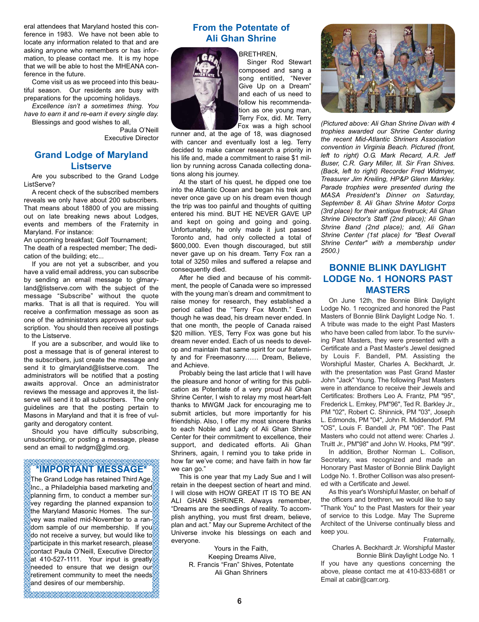eral attendees that Maryland hosted this conference in 1983. We have not been able to locate any information related to that and are asking anyone who remembers or has information, to please contact me. It is my hope that we will be able to host the MHEANA conference in the future.

Come visit us as we proceed into this beautiful season. Our residents are busy with preparations for the upcoming holidays.

*Excellence isn't a sometimes thing. You have to earn it and re-earn it every single day.* Blessings and good wishes to all,

Paula O'Neill

Executive Director

# **Grand Lodge of Maryland Listserve**

Are you subscribed to the Grand Lodge ListServe?

A recent check of the subscribed members reveals we only have about 200 subscribers. That means about 18800 of you are missing out on late breaking news about Lodges, events and members of the Fraternity in Maryland. For instance:

An upcoming breakfast; Golf Tournament; The death of a respected member; The dedication of the building; etc...

If you are not yet a subscriber, and you have a valid email address, you can subscribe by sending an email message to glmaryland@listserve.com with the subject of the message "Subscribe" without the quote marks. That is all that is required. You will receive a confirmation message as soon as one of the administrators approves your subscription. You should then receive all postings to the Listserve.

If you are a subscriber, and would like to post a message that is of general interest to the subscribers, just create the message and send it to glmaryland@listserve.com. The administrators will be notified that a posting awaits approval. Once an administrator reviews the message and approves it, the listserve will send it to all subscribers. The only guidelines are that the posting pertain to Masons in Maryland and that it is free of vulgarity and derogatory content.

Should you have difficulty subscribing, unsubscribing, or posting a message, please send an email to rwdgm@glmd.org.

# **\*IMPORTANT MESSAGE\***

The Grand Lodge has retained Third Age,  $\mathbb H$ nc., a Philadelphia based marketing and $\mathbb Z$ planning firm, to conduct a member survey regarding the planned expansion to the Maryland Masonic Homes. The survey was mailed mid-November to a ran- $\delta$  dom sample of our membership. If you (do not receive a survey, but would like to  $\operatorname{\mathbb{P}}$ participate in this market research, please $\operatorname{\mathbb{P}}$ contact Paula O'Neill, Executive Director at 410-527-1111. Your input is greatly needed to ensure that we design our retirement community to meet the needs and desires of our membership.

# **From the Potentate of Ali Ghan Shrine**

BRETHREN,



Singer Rod Stewart composed and sang a song entitled, "Never Give Up on a Dream" and each of us need to follow his recommendation as one young man, Terry Fox, did. Mr. Terry Fox was a high school

runner and, at the age of 18, was diagnosed with cancer and eventually lost a leg. Terry decided to make cancer research a priority in his life and, made a commitment to raise \$1 million by running across Canada collecting donations along his journey.

At the start of his quest, he dipped one toe into the Atlantic Ocean and began his trek and never once gave up on his dream even though the trip was too painful and thoughts of quitting entered his mind. BUT HE NEVER GAVE UP and kept on going and going and going. Unfortunately, he only made it just passed Toronto and, had only collected a total of \$600,000. Even though discouraged, but still never gave up on his dream. Terry Fox ran a total of 3250 miles and suffered a relapse and consequently died.

After he died and because of his commitment, the people of Canada were so impressed with the young man's dream and commitment to raise money for research, they established a period called the "Terry Fox Month." Even though he was dead, his dream never ended. In that one month, the people of Canada raised \$20 million. YES, Terry Fox was gone but his dream never ended. Each of us needs to develop and maintain that same spirit for our fraternity and for Freemasonry…… Dream, Believe, and Achieve.

Probably being the last article that I will have the pleasure and honor of writing for this publication as Potentate of a very proud Ali Ghan Shrine Center, I wish to relay my most heart-felt thanks to MWGM Jack for encouraging me to submit articles, but more importantly for his friendship. Also, I offer my most sincere thanks to each Noble and Lady of Ali Ghan Shrine Center for their commitment to excellence, their support, and dedicated efforts. Ali Ghan Shriners, again, I remind you to take pride in how far we've come; and have faith in how far we can go."

This is one year that my Lady Sue and I will retain in the deepest section of heart and mind. I will close with HOW GREAT IT IS TO BE AN ALI GHAN SHRINER. Always remember, "Dreams are the seedlings of reality. To accomplish anything, you must first dream, believe, plan and act." May our Supreme Architect of the Universe invoke his blessings on each and everyone.

> Yours in the Faith, Keeping Dreams Alive, R. Francis "Fran" Shives, Potentate Ali Ghan Shriners



*(Pictured above: Ali Ghan Shrine Divan with 4 trophies awarded our Shrine Center during the recent Mid-Atlantic Shriners Association convention in Virginia Beach. Pictured (front, left to right) O.G. Mark Recard, A.R. Jeff Buser, C.R. Gary Miller, Ill. Sir Fran Shives. (Back, left to right) Recorder Fred Widmyer, Treasurer Jim Kreiling, HP&P Glenn Markley. Parade trophies were presented during the MASA President's Dinner on Saturday, September 8. Ali Ghan Shrine Motor Corps (3rd place) for their antique firetruck; Ali Ghan Shrine Director's Staff (2nd place); Ali Ghan Shrine Band (2nd place); and, Ali Ghan Shrine Center (1st place) for "Best Overall Shrine Center" with a membership under 2500.)*

# **BONNIE BLINK DAYLIGHT LODGE No. 1 HONORS PAST MASTERS**

On June 12th, the Bonnie Blink Daylight Lodge No. 1 recognized and honored the Past Masters of Bonnie Blink Daylight Lodge No. 1. A tribute was made to the eight Past Masters who have been called from labor. To the surviving Past Masters, they were presented with a Certificate and a Past Master's Jewel designed by Louis F. Bandell, PM. Assisting the Worshipful Master, Charles A. Beckhardt, Jr. with the presentation was Past Grand Master John "Jack" Young. The following Past Masters were in attendance to receive their Jewels and Certificates: Brothers Leo A. Frantz, PM "95", Frederick L. Emkey, PM"96", Ted R. Barkley Jr., PM "02", Robert C. Shinnick, PM "03", Joseph L. Edmonds, PM "04", John R. Middendorf. PM "OS", Louis F. Bandell Jr, PM "06". The Past Masters who could not attend were: Charles J. Truitt Jr., PM"98" and John W. Hooks, PM "99".

In addition, Brother Norman L. Collison, Secretary, was recognized and made an Honorary Past Master of Bonnie Blink Daylight Lodge No. 1. Brother Collison was also presented with a Certificate and Jewel.

As this year's Worshipful Master, on behalf of the officers and brethren, we would like to say "Thank You" to the Past Masters for their year of service to this Lodge. May The Supreme Architect of the Universe continually bless and keep you.

Fraternally,

Charles A. Beckhardt Jr. Worshipful Master Bonnie Blink Daylight Lodge No. 1 If you have any questions concerning the above, please contact me at 410-833-6881 or Email at cabir@carr.org.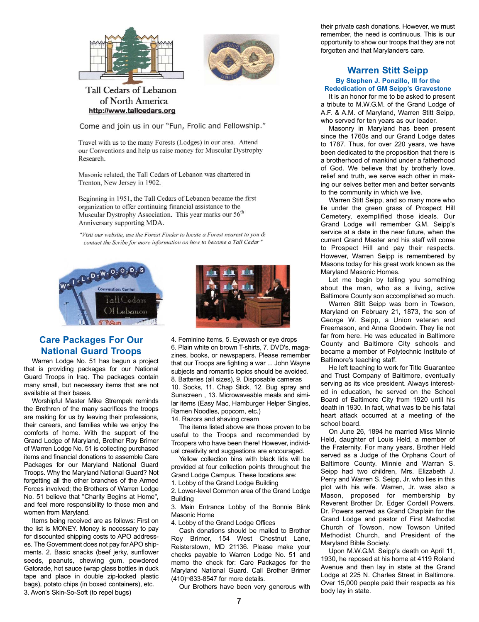



# Tall Cedars of Lebanon of North America http://www.tallcedars.org

Come and join us in our "Fun, Frolic and Fellowship."

Travel with us to the many Forests (Lodges) in our area. Attend our Conventions and help us raise money for Muscular Dystrophy Research.

Masonic related, the Tall Cedars of Lebanon was chartered in Trenton, New Jersey in 1902.

Beginning in 1951, the Tall Cedars of Lebanon became the first organization to offer continuing financial assistance to the Muscular Dystrophy Association. This year marks our 56<sup>th</sup> Anniversary supporting MDA.

"Visit our website, use the Forest Finder to locate a Forest nearest to you & contact the Scribe for more information on how to become a Tall Cedar"





# **Care Packages For Our National Guard Troops**

Warren Lodge No. 51 has begun a project that is providing packages for our National Guard Troops in Iraq. The packages contain many small, but necessary items that are not available at their bases.

Worshipful Master Mike Strempek reminds the Brethren of the many sacrifices the troops are making for us by leaving their professions, their careers, and families while we enjoy the comforts of home. With the support of the Grand Lodge of Maryland, Brother Roy Brimer of Warren Lodge No. 51 is collecting purchased items and financial donations to assemble Care Packages for our Maryland National Guard Troops. Why the Maryland National Guard? Not forgetting all the other branches of the Armed Forces involved; the Brothers of Warren Lodge No. 51 believe that "Charity Begins at Home", and feel more responsibility to those men and women from Maryland.

Items being received are as follows: First on the list is MONEY. Money is necessary to pay for discounted shipping costs to APO addresses. The Government does not pay for APO shipments. 2. Basic snacks (beef jerky, sunflower seeds, peanuts, chewing gum, powdered Gatorade, hot sauce (wrap glass bottles in duck tape and place in double zip-locked plastic bags), potato chips (in boxed containers), etc. 3. Avon's Skin-So-Soft (to repel bugs)

4. Feminine items, 5. Eyewash or eye drops 6. Plain white on brown T-shirts, 7. DVD's, magazines, books, or newspapers. Please remember that our Troops are fighting a war ... John Wayne subjects and romantic topics should be avoided. 8. Batteries (all sizes), 9. Disposable cameras 10. Socks, 11. Chap Stick, 12. Bug spray and Sunscreen , 13. Microwaveable meals and similar items (Easy Mac, Hamburger Helper Singles, Ramen Noodles, popcorn, etc.)

14. Razors and shaving cream

The items listed above are those proven to be useful to the Troops and recommended by Troopers who have been there! However, individual creativity and suggestions are encouraged.

Yellow collection bins with black lids will be provided at four collection points throughout the Grand Lodge Campus. These locations are:

1. Lobby of the Grand Lodge Building

2. Lower-level Common area of the Grand Lodge **Building** 

3. Main Entrance Lobby of the Bonnie Blink Masonic Home

4. Lobby of the Grand Lodge Offices

Cash donations should be mailed to Brother Roy Brimer, 154 West Chestnut Lane, Reisterstown, MD 21136. Please make your checks payable to Warren Lodge No. 51 and memo the check for: Care Packages for the Maryland National Guard. Call Brother Brimer (410)¬833-8547 for more details.

Our Brothers have been very generous with

their private cash donations. However, we must remember, the need is continuous. This is our opportunity to show our troops that they are not forgotten and that Marylanders care.

#### **Warren Stitt Seipp By Stephen J. Ponzillo, III for the Rededication of GM Seipp's Gravestone**

It is an honor for me to be asked to present a tribute to M.W.G.M. of the Grand Lodge of A.F. & A.M. of Maryland, Warren Stitt Seipp, who served for ten years as our leader.

Masonry in Maryland has been present since the 1760s and our Grand Lodge dates to 1787. Thus, for over 220 years, we have been dedicated to the proposition that there is a brotherhood of mankind under a fatherhood of God. We believe that by brotherly love, relief and truth, we serve each other in making our selves better men and better servants to the community in which we live.

Warren Stitt Seipp, and so many more who lie under the green grass of Prospect Hill Cemetery, exemplified those ideals. Our Grand Lodge will remember G.M. Seipp's service at a date in the near future, when the current Grand Master and his staff will come to Prospect Hill and pay their respects. However, Warren Seipp is remembered by Masons today for his great work known as the Maryland Masonic Homes.

Let me begin by telling you something about the man, who as a living, active Baltimore County son accomplished so much.

Warren Stitt Seipp was born in Towson, Maryland on February 21, 1873, the son of George W. Seipp, a Union veteran and Freemason, and Anna Goodwin. They lie not far from here. He was educated in Baltimore County and Baltimore City schools and became a member of Polytechnic Institute of Baltimore's teaching staff.

He left teaching to work for Title Guarantee and Trust Company of Baltimore, eventually serving as its vice president. Always interested in education, he served on the School Board of Baltimore City from 1920 until his death in 1930. In fact, what was to be his fatal heart attack occurred at a meeting of the school board.

On June 26, 1894 he married Miss Minnie Held, daughter of Louis Held, a member of the Fraternity. For many years, Brother Held served as a Judge of the Orphans Court of Baltimore County. Minnie and Warran S. Seipp had two children, Mrs. Elizabeth J. Perry and Warren S. Seipp, Jr. who lies in this plot with his wife. Warren, Jr. was also a Mason, proposed for membership by Reverent Brother Dr. Edger Cordell Powers. Dr. Powers served as Grand Chaplain for the Grand Lodge and pastor of First Methodist Church of Towson, now Towson United Methodist Church, and President of the Maryland Bible Society.

Upon M.W.G.M. Seipp's death on April 11, 1930, he reposed at his home at 4119 Roland Avenue and then lay in state at the Grand Lodge at 225 N. Charles Street in Baltimore. Over 15,000 people paid their respects as his body lay in state.